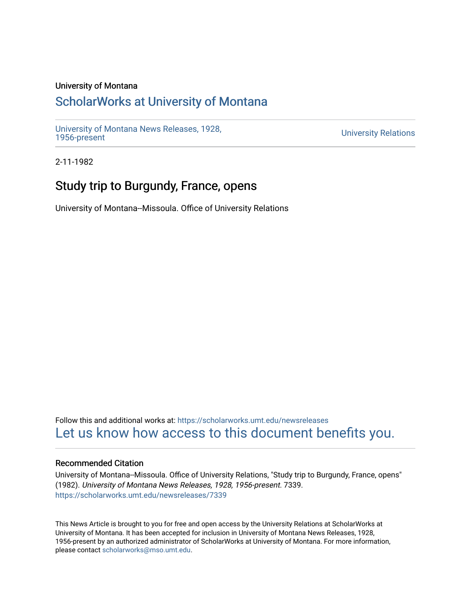### University of Montana

## [ScholarWorks at University of Montana](https://scholarworks.umt.edu/)

[University of Montana News Releases, 1928,](https://scholarworks.umt.edu/newsreleases) 

**University Relations** 

2-11-1982

# Study trip to Burgundy, France, opens

University of Montana--Missoula. Office of University Relations

Follow this and additional works at: [https://scholarworks.umt.edu/newsreleases](https://scholarworks.umt.edu/newsreleases?utm_source=scholarworks.umt.edu%2Fnewsreleases%2F7339&utm_medium=PDF&utm_campaign=PDFCoverPages) [Let us know how access to this document benefits you.](https://goo.gl/forms/s2rGfXOLzz71qgsB2) 

#### Recommended Citation

University of Montana--Missoula. Office of University Relations, "Study trip to Burgundy, France, opens" (1982). University of Montana News Releases, 1928, 1956-present. 7339. [https://scholarworks.umt.edu/newsreleases/7339](https://scholarworks.umt.edu/newsreleases/7339?utm_source=scholarworks.umt.edu%2Fnewsreleases%2F7339&utm_medium=PDF&utm_campaign=PDFCoverPages) 

This News Article is brought to you for free and open access by the University Relations at ScholarWorks at University of Montana. It has been accepted for inclusion in University of Montana News Releases, 1928, 1956-present by an authorized administrator of ScholarWorks at University of Montana. For more information, please contact [scholarworks@mso.umt.edu.](mailto:scholarworks@mso.umt.edu)